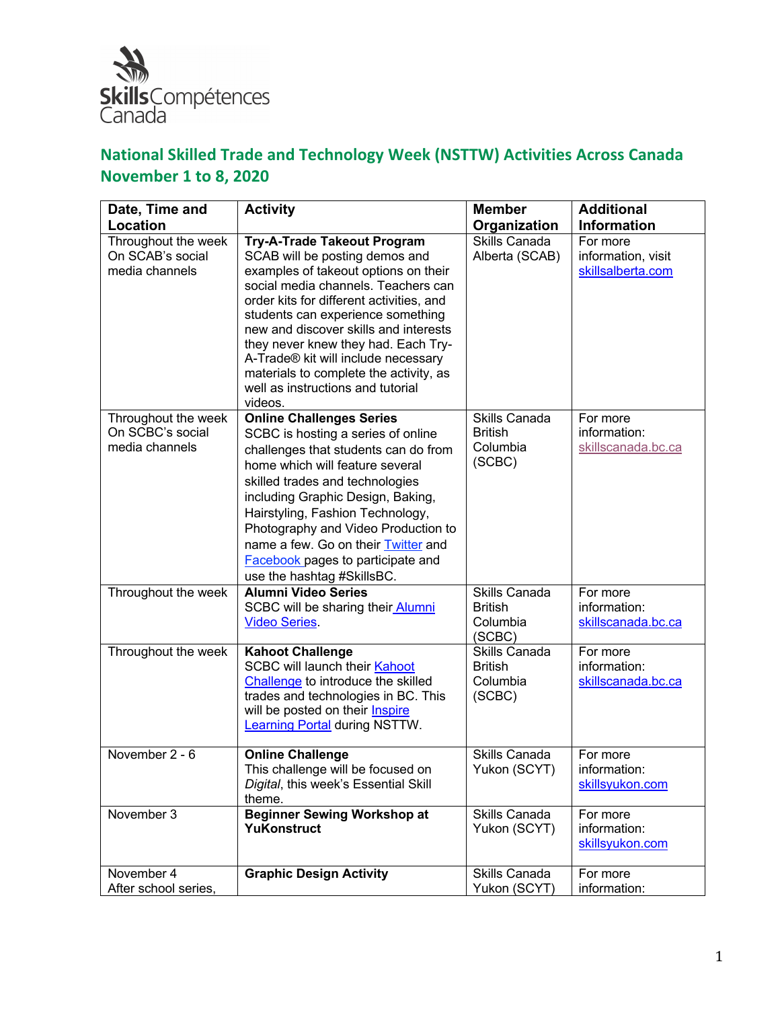

| Date, Time and                                            | <b>Activity</b>                                                                                                                                                                                                                                                                                                                                                                                                                                       | <b>Member</b>                                         | <b>Additional</b>                                   |
|-----------------------------------------------------------|-------------------------------------------------------------------------------------------------------------------------------------------------------------------------------------------------------------------------------------------------------------------------------------------------------------------------------------------------------------------------------------------------------------------------------------------------------|-------------------------------------------------------|-----------------------------------------------------|
| <b>Location</b>                                           |                                                                                                                                                                                                                                                                                                                                                                                                                                                       | Organization                                          | <b>Information</b>                                  |
| Throughout the week<br>On SCAB's social<br>media channels | <b>Try-A-Trade Takeout Program</b><br>SCAB will be posting demos and<br>examples of takeout options on their<br>social media channels. Teachers can<br>order kits for different activities, and<br>students can experience something<br>new and discover skills and interests<br>they never knew they had. Each Try-<br>A-Trade® kit will include necessary<br>materials to complete the activity, as<br>well as instructions and tutorial<br>videos. | Skills Canada<br>Alberta (SCAB)                       | For more<br>information, visit<br>skillsalberta.com |
| Throughout the week<br>On SCBC's social<br>media channels | <b>Online Challenges Series</b><br>SCBC is hosting a series of online<br>challenges that students can do from<br>home which will feature several<br>skilled trades and technologies<br>including Graphic Design, Baking,<br>Hairstyling, Fashion Technology,<br>Photography and Video Production to<br>name a few. Go on their Twitter and<br><b>Facebook</b> pages to participate and<br>use the hashtag #SkillsBC.                                  | Skills Canada<br><b>British</b><br>Columbia<br>(SCBC) | For more<br>information:<br>skillscanada.bc.ca      |
| Throughout the week                                       | <b>Alumni Video Series</b><br>SCBC will be sharing their Alumni<br><b>Video Series.</b>                                                                                                                                                                                                                                                                                                                                                               | Skills Canada<br><b>British</b><br>Columbia<br>(SCBC) | For more<br>information:<br>skillscanada.bc.ca      |
| Throughout the week                                       | <b>Kahoot Challenge</b><br><b>SCBC will launch their Kahoot</b><br>Challenge to introduce the skilled<br>trades and technologies in BC. This<br>will be posted on their <b>Inspire</b><br>Learning Portal during NSTTW.                                                                                                                                                                                                                               | Skills Canada<br><b>British</b><br>Columbia<br>(SCBC) | For more<br>information:<br>skillscanada.bc.ca      |
| November 2 - 6                                            | <b>Online Challenge</b><br>This challenge will be focused on<br>Digital, this week's Essential Skill<br>theme.                                                                                                                                                                                                                                                                                                                                        | Skills Canada<br>Yukon (SCYT)                         | For more<br>information:<br>skillsyukon.com         |
| November 3                                                | <b>Beginner Sewing Workshop at</b><br>YuKonstruct                                                                                                                                                                                                                                                                                                                                                                                                     | Skills Canada<br>Yukon (SCYT)                         | For more<br>information:<br>skillsyukon.com         |
| November 4<br>After school series,                        | <b>Graphic Design Activity</b>                                                                                                                                                                                                                                                                                                                                                                                                                        | Skills Canada<br>Yukon (SCYT)                         | For more<br>information:                            |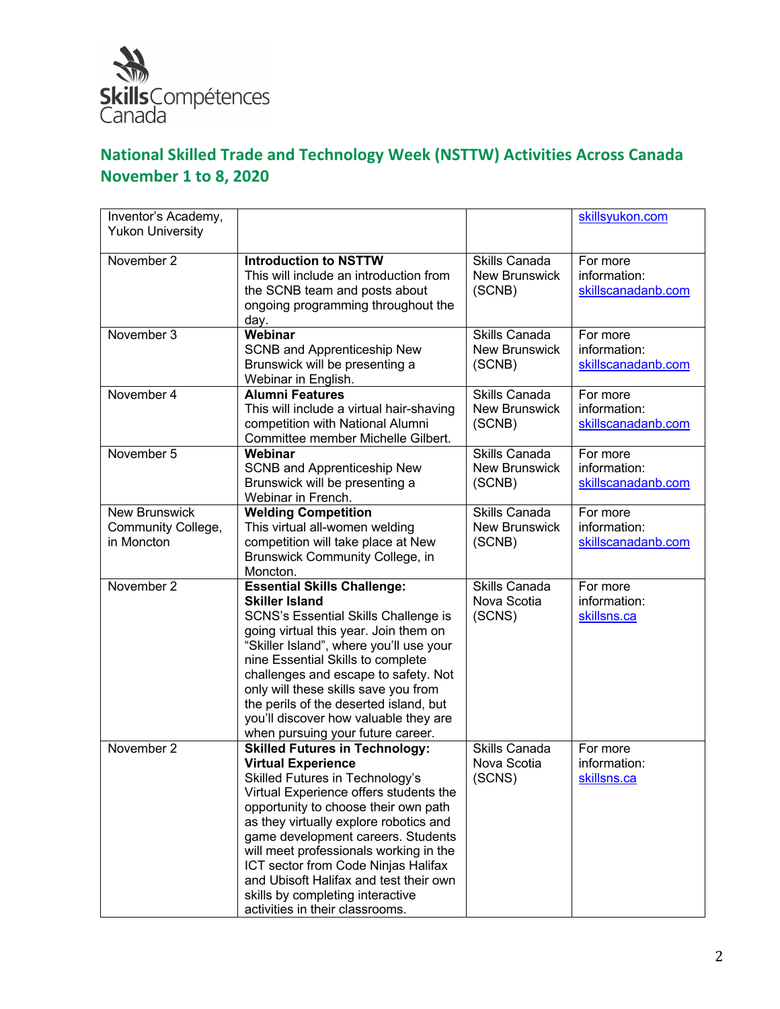

| Inventor's Academy,     |                                                                              |                              | skillsyukon.com          |
|-------------------------|------------------------------------------------------------------------------|------------------------------|--------------------------|
| <b>Yukon University</b> |                                                                              |                              |                          |
|                         |                                                                              |                              |                          |
| November 2              | <b>Introduction to NSTTW</b>                                                 | Skills Canada                | For more                 |
|                         | This will include an introduction from                                       | <b>New Brunswick</b>         | information:             |
|                         | the SCNB team and posts about                                                | (SCNB)                       | skillscanadanb.com       |
|                         | ongoing programming throughout the                                           |                              |                          |
| November 3              | day.<br>Webinar                                                              | Skills Canada                |                          |
|                         |                                                                              |                              | For more                 |
|                         | SCNB and Apprenticeship New<br>Brunswick will be presenting a                | <b>New Brunswick</b>         | information:             |
|                         | Webinar in English.                                                          | (SCNB)                       | skillscanadanb.com       |
| November 4              | <b>Alumni Features</b>                                                       | Skills Canada                | For more                 |
|                         | This will include a virtual hair-shaving                                     | <b>New Brunswick</b>         | information:             |
|                         | competition with National Alumni                                             | (SCNB)                       | skillscanadanb.com       |
|                         | Committee member Michelle Gilbert.                                           |                              |                          |
| November 5              | Webinar                                                                      | Skills Canada                | For more                 |
|                         | SCNB and Apprenticeship New                                                  | <b>New Brunswick</b>         | information:             |
|                         | Brunswick will be presenting a                                               | (SCNB)                       | skillscanadanb.com       |
|                         | Webinar in French.                                                           |                              |                          |
| <b>New Brunswick</b>    | <b>Welding Competition</b>                                                   | Skills Canada                | For more                 |
| Community College,      | This virtual all-women welding                                               | <b>New Brunswick</b>         | information:             |
| in Moncton              | competition will take place at New                                           | (SCNB)                       | skillscanadanb.com       |
|                         | Brunswick Community College, in                                              |                              |                          |
|                         | Moncton.                                                                     |                              |                          |
| November 2              | <b>Essential Skills Challenge:</b><br><b>Skiller Island</b>                  | Skills Canada<br>Nova Scotia | For more<br>information: |
|                         | SCNS's Essential Skills Challenge is                                         | (SCNS)                       | skillsns.ca              |
|                         | going virtual this year. Join them on                                        |                              |                          |
|                         | "Skiller Island", where you'll use your                                      |                              |                          |
|                         | nine Essential Skills to complete                                            |                              |                          |
|                         | challenges and escape to safety. Not                                         |                              |                          |
|                         | only will these skills save you from                                         |                              |                          |
|                         | the perils of the deserted island, but                                       |                              |                          |
|                         | you'll discover how valuable they are                                        |                              |                          |
|                         | when pursuing your future career.                                            |                              |                          |
| November 2              | <b>Skilled Futures in Technology:</b>                                        | <b>Skills Canada</b>         | For more                 |
|                         | <b>Virtual Experience</b>                                                    | Nova Scotia                  | information:             |
|                         | Skilled Futures in Technology's                                              | (SCNS)                       | skillsns.ca              |
|                         | Virtual Experience offers students the                                       |                              |                          |
|                         | opportunity to choose their own path                                         |                              |                          |
|                         | as they virtually explore robotics and<br>game development careers. Students |                              |                          |
|                         | will meet professionals working in the                                       |                              |                          |
|                         | ICT sector from Code Ninjas Halifax                                          |                              |                          |
|                         | and Ubisoft Halifax and test their own                                       |                              |                          |
|                         | skills by completing interactive                                             |                              |                          |
|                         | activities in their classrooms.                                              |                              |                          |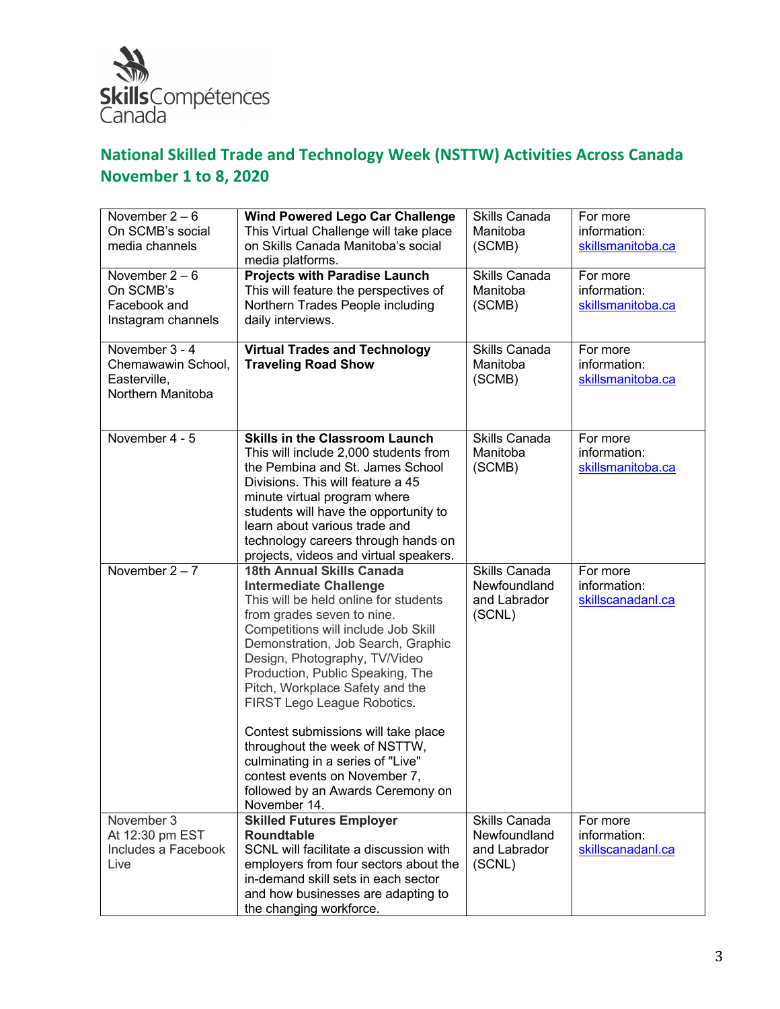

| November $2-6$      | <b>Wind Powered Lego Car Challenge</b>                        | Skills Canada        | For more          |
|---------------------|---------------------------------------------------------------|----------------------|-------------------|
| On SCMB's social    | This Virtual Challenge will take place                        | Manitoba             | information:      |
| media channels      | on Skills Canada Manitoba's social                            | (SCMB)               | skillsmanitoba.ca |
|                     | media platforms.                                              |                      |                   |
| November $2-6$      | <b>Projects with Paradise Launch</b>                          | <b>Skills Canada</b> | For more          |
| On SCMB's           | This will feature the perspectives of                         | Manitoba             | information:      |
| Facebook and        | Northern Trades People including                              | (SCMB)               | skillsmanitoba.ca |
| Instagram channels  | daily interviews.                                             |                      |                   |
|                     |                                                               |                      |                   |
| November 3 - 4      | <b>Virtual Trades and Technology</b>                          | Skills Canada        | For more          |
| Chemawawin School,  | <b>Traveling Road Show</b>                                    | Manitoba             | information:      |
| Easterville,        |                                                               | (SCMB)               | skillsmanitoba.ca |
| Northern Manitoba   |                                                               |                      |                   |
|                     |                                                               |                      |                   |
|                     |                                                               |                      |                   |
| November 4 - 5      | <b>Skills in the Classroom Launch</b>                         | Skills Canada        | For more          |
|                     | This will include 2,000 students from                         | Manitoba             | information:      |
|                     | the Pembina and St. James School                              | (SCMB)               | skillsmanitoba.ca |
|                     | Divisions. This will feature a 45                             |                      |                   |
|                     | minute virtual program where                                  |                      |                   |
|                     | students will have the opportunity to                         |                      |                   |
|                     | learn about various trade and                                 |                      |                   |
|                     | technology careers through hands on                           |                      |                   |
|                     | projects, videos and virtual speakers.                        |                      |                   |
| November $2 - 7$    | 18th Annual Skills Canada                                     | Skills Canada        | For more          |
|                     | <b>Intermediate Challenge</b>                                 | Newfoundland         | information:      |
|                     | This will be held online for students                         | and Labrador         | skillscanadanl.ca |
|                     | from grades seven to nine.                                    | (SCNL)               |                   |
|                     | Competitions will include Job Skill                           |                      |                   |
|                     | Demonstration, Job Search, Graphic                            |                      |                   |
|                     | Design, Photography, TV/Video                                 |                      |                   |
|                     | Production, Public Speaking, The                              |                      |                   |
|                     | Pitch, Workplace Safety and the                               |                      |                   |
|                     | FIRST Lego League Robotics.                                   |                      |                   |
|                     |                                                               |                      |                   |
|                     | Contest submissions will take place                           |                      |                   |
|                     | throughout the week of NSTTW,                                 |                      |                   |
|                     | culminating in a series of "Live"                             |                      |                   |
|                     | contest events on November 7,                                 |                      |                   |
|                     | followed by an Awards Ceremony on                             |                      |                   |
|                     | November 14.                                                  |                      |                   |
| November 3          | <b>Skilled Futures Employer</b>                               | Skills Canada        | For more          |
| At 12:30 pm EST     |                                                               |                      |                   |
| Includes a Facebook |                                                               |                      |                   |
|                     | <b>Roundtable</b>                                             | Newfoundland         | information:      |
|                     | SCNL will facilitate a discussion with                        | and Labrador         | skillscanadanl.ca |
| Live                | employers from four sectors about the                         | (SCNL)               |                   |
|                     | in-demand skill sets in each sector                           |                      |                   |
|                     | and how businesses are adapting to<br>the changing workforce. |                      |                   |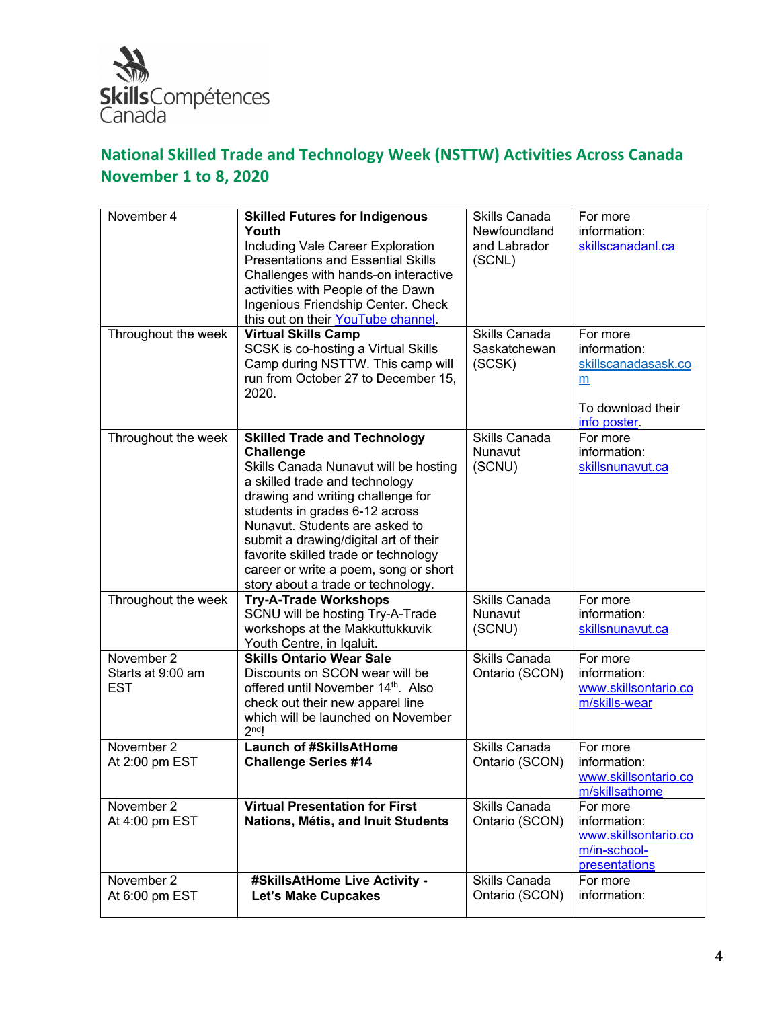

| November 4                                    | <b>Skilled Futures for Indigenous</b><br>Youth<br>Including Vale Career Exploration<br><b>Presentations and Essential Skills</b><br>Challenges with hands-on interactive<br>activities with People of the Dawn<br>Ingenious Friendship Center. Check<br>this out on their YouTube channel.                                                                                                                  | Skills Canada<br>Newfoundland<br>and Labrador<br>(SCNL) | For more<br>information:<br>skillscanadanl.ca                                             |
|-----------------------------------------------|-------------------------------------------------------------------------------------------------------------------------------------------------------------------------------------------------------------------------------------------------------------------------------------------------------------------------------------------------------------------------------------------------------------|---------------------------------------------------------|-------------------------------------------------------------------------------------------|
| Throughout the week                           | <b>Virtual Skills Camp</b><br>SCSK is co-hosting a Virtual Skills<br>Camp during NSTTW. This camp will<br>run from October 27 to December 15,<br>2020.                                                                                                                                                                                                                                                      | Skills Canada<br>Saskatchewan<br>(SCSK)                 | For more<br>information:<br>skillscanadasask.co<br>m<br>To download their<br>info poster. |
| Throughout the week                           | <b>Skilled Trade and Technology</b><br><b>Challenge</b><br>Skills Canada Nunavut will be hosting<br>a skilled trade and technology<br>drawing and writing challenge for<br>students in grades 6-12 across<br>Nunavut. Students are asked to<br>submit a drawing/digital art of their<br>favorite skilled trade or technology<br>career or write a poem, song or short<br>story about a trade or technology. | Skills Canada<br>Nunavut<br>(SCNU)                      | For more<br>information:<br>skillsnunavut.ca                                              |
| Throughout the week                           | <b>Try-A-Trade Workshops</b><br>SCNU will be hosting Try-A-Trade<br>workshops at the Makkuttukkuvik<br>Youth Centre, in Iqaluit.                                                                                                                                                                                                                                                                            | <b>Skills Canada</b><br>Nunavut<br>(SCNU)               | For more<br>information:<br>skillsnunavut.ca                                              |
| November 2<br>Starts at 9:00 am<br><b>EST</b> | <b>Skills Ontario Wear Sale</b><br>Discounts on SCON wear will be<br>offered until November 14th. Also<br>check out their new apparel line<br>which will be launched on November<br>2 <sup>nd</sup> !                                                                                                                                                                                                       | Skills Canada<br>Ontario (SCON)                         | For more<br>information:<br>www.skillsontario.co<br>m/skills-wear                         |
| November 2<br>At 2:00 pm EST                  | <b>Launch of #SkillsAtHome</b><br><b>Challenge Series #14</b>                                                                                                                                                                                                                                                                                                                                               | Skills Canada<br>Ontario (SCON)                         | For more<br>information:<br>www.skillsontario.co<br>m/skillsathome                        |
| November 2<br>At 4:00 pm EST                  | <b>Virtual Presentation for First</b><br>Nations, Métis, and Inuit Students                                                                                                                                                                                                                                                                                                                                 | Skills Canada<br>Ontario (SCON)                         | For more<br>information:<br>www.skillsontario.co<br>m/in-school-<br>presentations         |
| November 2<br>At 6:00 pm EST                  | #SkillsAtHome Live Activity -<br><b>Let's Make Cupcakes</b>                                                                                                                                                                                                                                                                                                                                                 | Skills Canada<br>Ontario (SCON)                         | For more<br>information:                                                                  |